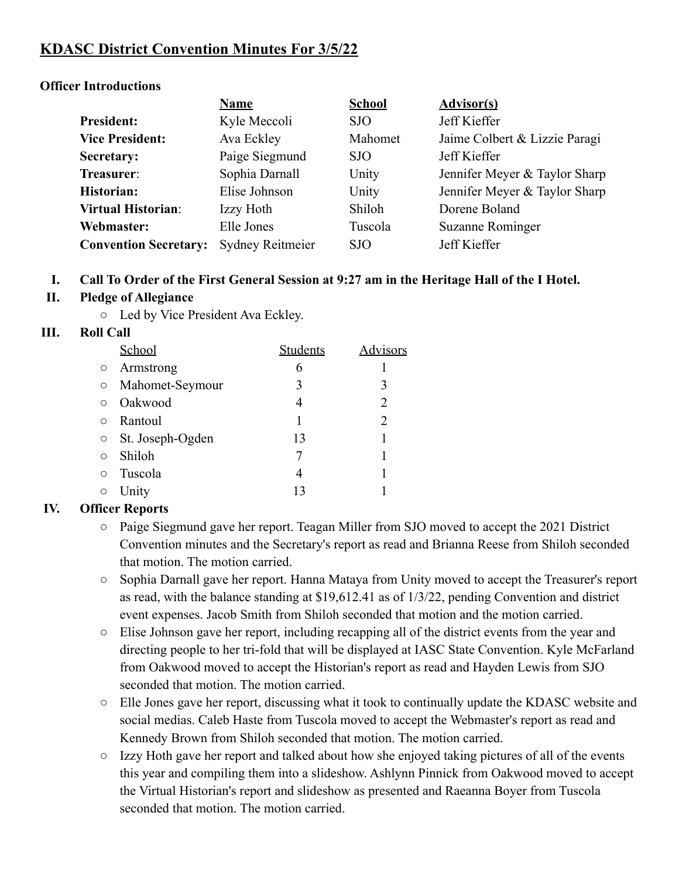# **KDASC District Convention Minutes For 3/5/22**

#### **Officer Introductions**

|                              | <b>Name</b>             | <b>School</b> | <b>Advisor(s)</b>             |  |
|------------------------------|-------------------------|---------------|-------------------------------|--|
| <b>President:</b>            | Kyle Meccoli            | SJO           | Jeff Kieffer                  |  |
| <b>Vice President:</b>       | Ava Eckley              | Mahomet       | Jaime Colbert & Lizzie Paragi |  |
| Secretary:                   | Paige Siegmund          | SJO           | Jeff Kieffer                  |  |
| Treasurer:                   | Sophia Darnall          | Unity         | Jennifer Meyer & Taylor Sharp |  |
| Historian:                   | Elise Johnson           | Unity         | Jennifer Meyer & Taylor Sharp |  |
| <b>Virtual Historian:</b>    | Izzy Hoth               | Shiloh        | Dorene Boland                 |  |
| Webmaster:                   | Elle Jones              | Tuscola       | Suzanne Rominger              |  |
| <b>Convention Secretary:</b> | <b>Sydney Reitmeier</b> | SJO           | Jeff Kieffer                  |  |

#### **I. Call To Order of the First General Session at 9:27 am in the Heritage Hall of the I Hotel.**

#### **II. Pledge of Allegiance**

○ Led by Vice President Ava Eckley.

#### **III. Roll Call**

|            | School           | Students | <b>Advisors</b> |
|------------|------------------|----------|-----------------|
| $\circ$    | Armstrong        | 6        |                 |
| $\circ$    | Mahomet-Seymour  | 3        | 3               |
| $\bigcirc$ | Oakwood          | 4        | 2               |
| $\circ$    | Rantoul          |          | 2               |
| $\circ$    | St. Joseph-Ogden | 13       |                 |
| $\bigcirc$ | Shiloh           |          |                 |
| $\circ$    | Tuscola          |          |                 |
| $\circ$    | Unity            | 13       |                 |

#### **IV. Officer Reports**

- Paige Siegmund gave her report. Teagan Miller from SJO moved to accept the 2021 District Convention minutes and the Secretary's report as read and Brianna Reese from Shiloh seconded that motion. The motion carried.
- Sophia Darnall gave her report. Hanna Mataya from Unity moved to accept the Treasurer's report as read, with the balance standing at \$19,612.41 as of 1/3/22, pending Convention and district event expenses. Jacob Smith from Shiloh seconded that motion and the motion carried.
- Elise Johnson gave her report, including recapping all of the district events from the year and directing people to her tri-fold that will be displayed at IASC State Convention. Kyle McFarland from Oakwood moved to accept the Historian's report as read and Hayden Lewis from SJO seconded that motion. The motion carried.
- Elle Jones gave her report, discussing what it took to continually update the KDASC website and social medias. Caleb Haste from Tuscola moved to accept the Webmaster's report as read and Kennedy Brown from Shiloh seconded that motion. The motion carried.
- Izzy Hoth gave her report and talked about how she enjoyed taking pictures of all of the events this year and compiling them into a slideshow. Ashlynn Pinnick from Oakwood moved to accept the Virtual Historian's report and slideshow as presented and Raeanna Boyer from Tuscola seconded that motion. The motion carried.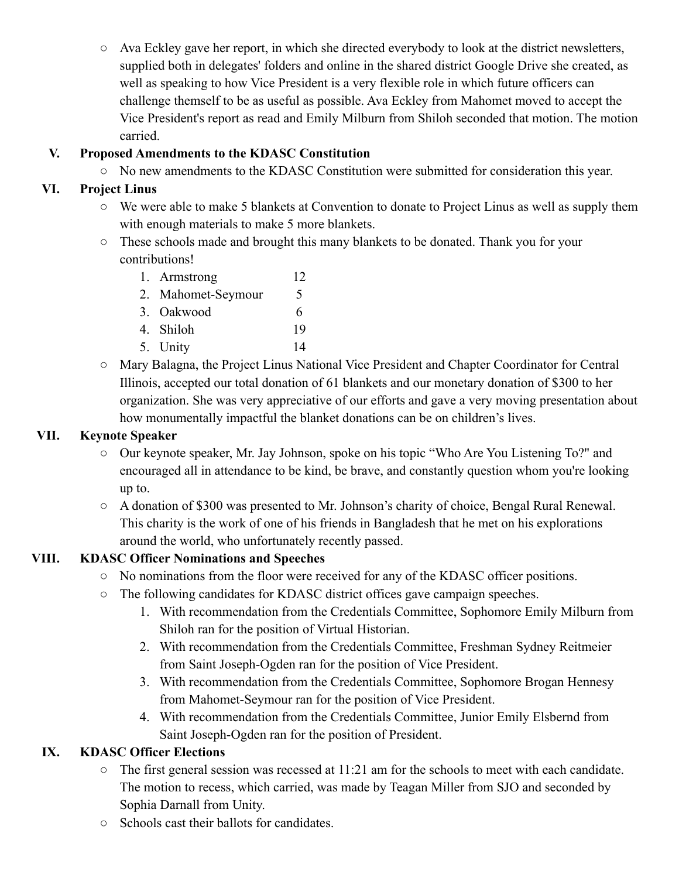○ Ava Eckley gave her report, in which she directed everybody to look at the district newsletters, supplied both in delegates' folders and online in the shared district Google Drive she created, as well as speaking to how Vice President is a very flexible role in which future officers can challenge themself to be as useful as possible. Ava Eckley from Mahomet moved to accept the Vice President's report as read and Emily Milburn from Shiloh seconded that motion. The motion carried.

### **V. Proposed Amendments to the KDASC Constitution**

○ No new amendments to the KDASC Constitution were submitted for consideration this year.

#### **VI. Project Linus**

- We were able to make 5 blankets at Convention to donate to Project Linus as well as supply them with enough materials to make 5 more blankets.
- These schools made and brought this many blankets to be donated. Thank you for your contributions!
	- 1. Armstrong 12
	- 2. Mahomet-Seymour 5 3. Oakwood 6
	- 4. Shiloh 19
	- 5. Unity 14
- Mary Balagna, the Project Linus National Vice President and Chapter Coordinator for Central Illinois, accepted our total donation of 61 blankets and our monetary donation of \$300 to her organization. She was very appreciative of our efforts and gave a very moving presentation about how monumentally impactful the blanket donations can be on children's lives.

#### **VII. Keynote Speaker**

- Our keynote speaker, Mr. Jay Johnson, spoke on his topic "Who Are You Listening To?" and encouraged all in attendance to be kind, be brave, and constantly question whom you're looking up to.
- A donation of \$300 was presented to Mr. Johnson's charity of choice, Bengal Rural Renewal. This charity is the work of one of his friends in Bangladesh that he met on his explorations around the world, who unfortunately recently passed.

### **VIII. KDASC Officer Nominations and Speeches**

- No nominations from the floor were received for any of the KDASC officer positions.
- The following candidates for KDASC district offices gave campaign speeches.
	- 1. With recommendation from the Credentials Committee, Sophomore Emily Milburn from Shiloh ran for the position of Virtual Historian.
	- 2. With recommendation from the Credentials Committee, Freshman Sydney Reitmeier from Saint Joseph-Ogden ran for the position of Vice President.
	- 3. With recommendation from the Credentials Committee, Sophomore Brogan Hennesy from Mahomet-Seymour ran for the position of Vice President.
	- 4. With recommendation from the Credentials Committee, Junior Emily Elsbernd from Saint Joseph-Ogden ran for the position of President.

### **IX. KDASC Officer Elections**

- The first general session was recessed at 11:21 am for the schools to meet with each candidate. The motion to recess, which carried, was made by Teagan Miller from SJO and seconded by Sophia Darnall from Unity.
- Schools cast their ballots for candidates.